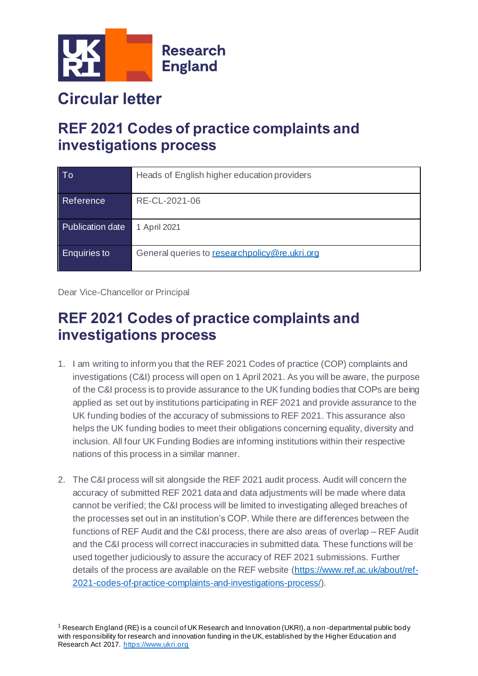

## **Circular letter**

## **REF 2021 Codes of practice complaints and investigations process**

| To                  | Heads of English higher education providers   |
|---------------------|-----------------------------------------------|
| Reference           | RE-CL-2021-06                                 |
| Publication date    | 1 April 2021                                  |
| <b>Enquiries to</b> | General queries to researchpolicy@re.ukri.org |

Dear Vice-Chancellor or Principal

## **REF 2021 Codes of practice complaints and investigations process**

- 1. I am writing to inform you that the REF 2021 Codes of practice (COP) complaints and investigations (C&I) process will open on 1 April 2021. As you will be aware, the purpose of the C&I process is to provide assurance to the UK funding bodies that COPs are being applied as set out by institutions participating in REF 2021 and provide assurance to the UK funding bodies of the accuracy of submissions to REF 2021. This assurance also helps the UK funding bodies to meet their obligations concerning equality, diversity and inclusion. All four UK Funding Bodies are informing institutions within their respective nations of this process in a similar manner.
- 2. The C&I process will sit alongside the REF 2021 audit process. Audit will concern the accuracy of submitted REF 2021 data and data adjustments will be made where data cannot be verified; the C&I process will be limited to investigating alleged breaches of the processes set out in an institution's COP. While there are differences between the functions of REF Audit and the C&I process, there are also areas of overlap – REF Audit and the C&I process will correct inaccuracies in submitted data. These functions will be used together judiciously to assure the accuracy of REF 2021 submissions. Further details of the process are available on the REF website [\(https://www.ref.ac.uk/about/ref-](https://www.ref.ac.uk/about/ref-2021-codes-of-practice-complaints-and-investigations-process/)[2021-codes-of-practice-complaints-and-investigations-process/](https://www.ref.ac.uk/about/ref-2021-codes-of-practice-complaints-and-investigations-process/)).

<sup>1</sup> Research England (RE) is a council of UK Research and Innovation (UKRI), a non -departmental public body with responsibility for research and innovation funding in the UK, established by the Higher Education and Research Act 2017. [https://www.ukri.org](https://www.ukri.org/)